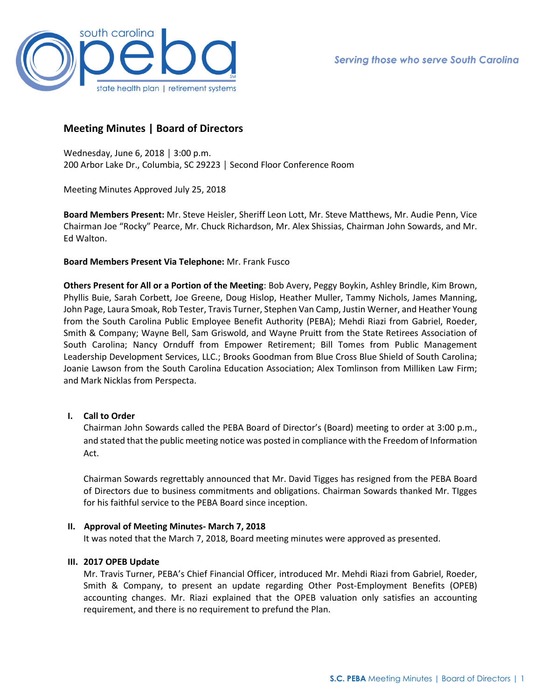

# **Meeting Minutes | Board of Directors**

Wednesday, June 6, 2018 │ 3:00 p.m. 200 Arbor Lake Dr., Columbia, SC 29223 │ Second Floor Conference Room

Meeting Minutes Approved July 25, 2018

**Board Members Present:** Mr. Steve Heisler, Sheriff Leon Lott, Mr. Steve Matthews, Mr. Audie Penn, Vice Chairman Joe "Rocky" Pearce, Mr. Chuck Richardson, Mr. Alex Shissias, Chairman John Sowards, and Mr. Ed Walton.

### **Board Members Present Via Telephone:** Mr. Frank Fusco

**Others Present for All or a Portion of the Meeting**: Bob Avery, Peggy Boykin, Ashley Brindle, Kim Brown, Phyllis Buie, Sarah Corbett, Joe Greene, Doug Hislop, Heather Muller, Tammy Nichols, James Manning, John Page, Laura Smoak, Rob Tester, Travis Turner, Stephen Van Camp, Justin Werner, and Heather Young from the South Carolina Public Employee Benefit Authority (PEBA); Mehdi Riazi from Gabriel, Roeder, Smith & Company; Wayne Bell, Sam Griswold, and Wayne Pruitt from the State Retirees Association of South Carolina; Nancy Ornduff from Empower Retirement; Bill Tomes from Public Management Leadership Development Services, LLC.; Brooks Goodman from Blue Cross Blue Shield of South Carolina; Joanie Lawson from the South Carolina Education Association; Alex Tomlinson from Milliken Law Firm; and Mark Nicklas from Perspecta.

## **I. Call to Order**

Chairman John Sowards called the PEBA Board of Director's (Board) meeting to order at 3:00 p.m., and stated that the public meeting notice was posted in compliance with the Freedom of Information Act.

Chairman Sowards regrettably announced that Mr. David Tigges has resigned from the PEBA Board of Directors due to business commitments and obligations. Chairman Sowards thanked Mr. TIgges for his faithful service to the PEBA Board since inception.

#### **II. Approval of Meeting Minutes- March 7, 2018**

It was noted that the March 7, 2018, Board meeting minutes were approved as presented.

#### **III. 2017 OPEB Update**

Mr. Travis Turner, PEBA's Chief Financial Officer, introduced Mr. Mehdi Riazi from Gabriel, Roeder, Smith & Company, to present an update regarding Other Post-Employment Benefits (OPEB) accounting changes. Mr. Riazi explained that the OPEB valuation only satisfies an accounting requirement, and there is no requirement to prefund the Plan.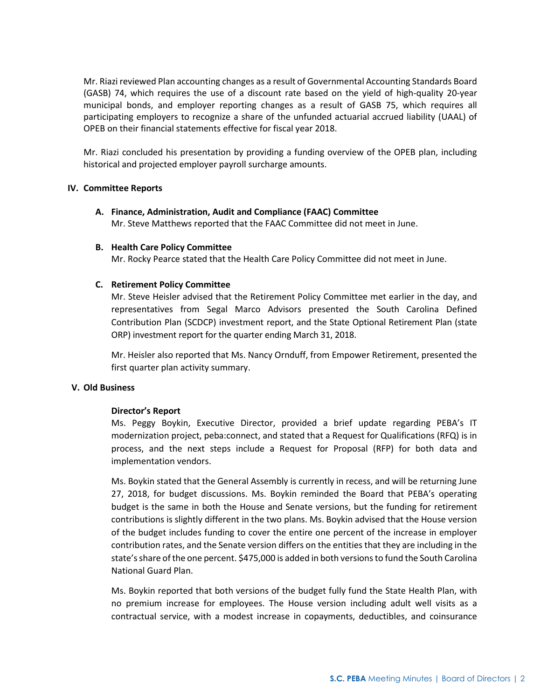Mr. Riazi reviewed Plan accounting changes as a result of Governmental Accounting Standards Board (GASB) 74, which requires the use of a discount rate based on the yield of high-quality 20-year municipal bonds, and employer reporting changes as a result of GASB 75, which requires all participating employers to recognize a share of the unfunded actuarial accrued liability (UAAL) of OPEB on their financial statements effective for fiscal year 2018.

Mr. Riazi concluded his presentation by providing a funding overview of the OPEB plan, including historical and projected employer payroll surcharge amounts.

### **IV. Committee Reports**

**A. Finance, Administration, Audit and Compliance (FAAC) Committee** Mr. Steve Matthews reported that the FAAC Committee did not meet in June.

### **B. Health Care Policy Committee**

Mr. Rocky Pearce stated that the Health Care Policy Committee did not meet in June.

### **C. Retirement Policy Committee**

Mr. Steve Heisler advised that the Retirement Policy Committee met earlier in the day, and representatives from Segal Marco Advisors presented the South Carolina Defined Contribution Plan (SCDCP) investment report, and the State Optional Retirement Plan (state ORP) investment report for the quarter ending March 31, 2018.

Mr. Heisler also reported that Ms. Nancy Ornduff, from Empower Retirement, presented the first quarter plan activity summary.

#### **V. Old Business**

#### **Director's Report**

Ms. Peggy Boykin, Executive Director, provided a brief update regarding PEBA's IT modernization project, peba:connect, and stated that a Request for Qualifications (RFQ) is in process, and the next steps include a Request for Proposal (RFP) for both data and implementation vendors.

Ms. Boykin stated that the General Assembly is currently in recess, and will be returning June 27, 2018, for budget discussions. Ms. Boykin reminded the Board that PEBA's operating budget is the same in both the House and Senate versions, but the funding for retirement contributions is slightly different in the two plans. Ms. Boykin advised that the House version of the budget includes funding to cover the entire one percent of the increase in employer contribution rates, and the Senate version differs on the entities that they are including in the state's share of the one percent. \$475,000 is added in both versions to fund the South Carolina National Guard Plan.

Ms. Boykin reported that both versions of the budget fully fund the State Health Plan, with no premium increase for employees. The House version including adult well visits as a contractual service, with a modest increase in copayments, deductibles, and coinsurance